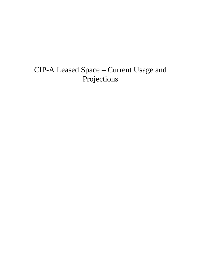# CIP-A Leased Space – Current Usage and Projections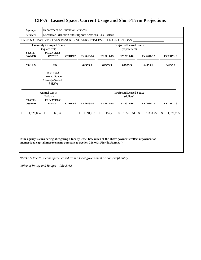| Agency:                       | Department of Financial Services                              |        |                            |                           |                                                |            |                            |
|-------------------------------|---------------------------------------------------------------|--------|----------------------------|---------------------------|------------------------------------------------|------------|----------------------------|
| Service:                      | Executive Direction and Support Services - 43010100           |        |                            |                           |                                                |            |                            |
|                               | LRPP NARRATIVE PAGES DESCRIBING SERVICE-LEVEL LEASE OPTIONS   |        |                            |                           |                                                |            |                            |
|                               | <b>Currently Occupied Space</b><br>(square feet)              |        |                            |                           | <b>Projected Leased Space</b><br>(square feet) |            |                            |
| <b>STATE-</b><br><b>OWNED</b> | PRIVATELY-<br><b>OWNED</b>                                    | OTHER* | FY 2013-14                 | FY 2014-15                | FY 2015-16                                     | FY 2016-17 | FY 2017-18                 |
| 59419.9                       | 5536                                                          |        | 64955.9                    | 64955.9                   | 64955.9                                        | 64955.9    | 64955.9                    |
|                               | % of Total<br><b>Leased Space</b><br>Privately-Owned<br>8.52% |        |                            |                           |                                                |            |                            |
|                               |                                                               |        |                            |                           |                                                |            |                            |
|                               | <b>Annual Costs</b>                                           |        |                            |                           | <b>Projected Leased Space</b>                  |            |                            |
| <b>STATE-</b><br><b>OWNED</b> | (dollars)<br>PRIVATELY-<br><b>OWNED</b>                       | OTHER* | FY 2013-14                 | FY 2014-15                | (dollars)<br>FY 2015-16                        | FY 2016-17 | FY 2017-18                 |
| \$<br>1,020,834               | 66,869<br>-S                                                  |        | 1,091,715<br><sup>\$</sup> | 1,157,218<br><sup>S</sup> | $1,226,651$ \$<br><sup>S</sup>                 | 1,300,250  | 1,378,265<br><sup>\$</sup> |

*NOTE: "Other\*" means space leased from a local government or non-profit entity.*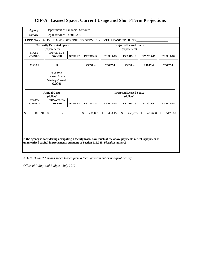| Agency:                       | Department of Financial Services                               |        |                         |                            |                                                |            |                          |
|-------------------------------|----------------------------------------------------------------|--------|-------------------------|----------------------------|------------------------------------------------|------------|--------------------------|
| Service:                      | Legal services - 43010200                                      |        |                         |                            |                                                |            |                          |
|                               | LRPP NARRATIVE PAGES DESCRIBING SERVICE-LEVEL LEASE OPTIONS    |        |                         |                            |                                                |            |                          |
| <b>STATE-</b>                 | <b>Currently Occupied Space</b><br>(square feet)<br>PRIVATELY- |        |                         |                            | <b>Projected Leased Space</b><br>(square feet) |            |                          |
| <b>OWNED</b>                  | <b>OWNED</b>                                                   | OTHER* | FY 2013-14              | FY 2014-15                 | FY 2015-16                                     | FY 2016-17 | FY 2017-18               |
| 23637.4                       | 0                                                              |        | 23637.4                 | 23637.4                    | 23637.4                                        | 23637.4    | 23637.4                  |
|                               | % of Total<br><b>Leased Space</b><br>Privately-Owned<br>0.00%  |        |                         |                            |                                                |            |                          |
|                               |                                                                |        |                         |                            |                                                |            |                          |
|                               | <b>Annual Costs</b>                                            |        |                         |                            | <b>Projected Leased Space</b>                  |            |                          |
| <b>STATE-</b><br><b>OWNED</b> | (dollars)<br>PRIVATELY-<br><b>OWNED</b>                        | OTHER* | FY 2013-14              | FY 2014-15                 | (dollars)<br>FY 2015-16                        | FY 2016-17 | FY 2017-18               |
| \$<br>406,091                 | - \$                                                           |        | $\mathbb{S}$<br>406,091 | $\mathbb{S}$<br>430,456 \$ | 456,283 \$                                     | 483,660    | 512,680<br><sup>\$</sup> |

*NOTE: "Other\*" means space leased from a local government or non-profit entity.*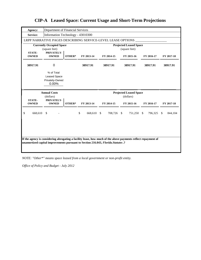| Agency:                       | Department of Financial Services                              |        |                  |            |                                                |            |                         |
|-------------------------------|---------------------------------------------------------------|--------|------------------|------------|------------------------------------------------|------------|-------------------------|
| Service:                      | Information Technology - 43010300                             |        |                  |            |                                                |            |                         |
|                               | LRPP NARRATIVE PAGES DESCRIBING SERVICE-LEVEL LEASE OPTIONS   |        |                  |            |                                                |            |                         |
|                               | <b>Currently Occupied Space</b><br>(square feet)              |        |                  |            | <b>Projected Leased Space</b><br>(square feet) |            |                         |
| <b>STATE-</b><br><b>OWNED</b> | PRIVATELY-<br><b>OWNED</b>                                    | OTHER* | FY 2013-14       | FY 2014-15 | FY 2015-16                                     | FY 2016-17 | FY 2017-18              |
| 38917.91                      | $\mathbf 0$                                                   |        | 38917.91         | 38917.91   | 38917.91                                       | 38917.91   | 38917.91                |
|                               | % of Total<br><b>Leased Space</b><br>Privately-Owned<br>0.00% |        |                  |            |                                                |            |                         |
|                               |                                                               |        |                  |            |                                                |            |                         |
| <b>STATE-</b>                 | <b>Annual Costs</b><br>(dollars)<br>PRIVATELY-                |        |                  |            | <b>Projected Leased Space</b><br>(dollars)     |            |                         |
| <b>OWNED</b>                  | <b>OWNED</b>                                                  | OTHER* | FY 2013-14       | FY 2014-15 | FY 2015-16                                     | FY 2016-17 | FY 2017-18              |
| \$<br>668,610                 | $\mathbb{S}$                                                  |        | \$<br>668,610 \$ | 708,726 \$ | 751,250 \$                                     | 796,325    | $\mathbb{S}$<br>844,104 |
|                               |                                                               |        |                  |            |                                                |            |                         |

*NOTE: "Other\*" means space leased from a local government or non-profit entity.*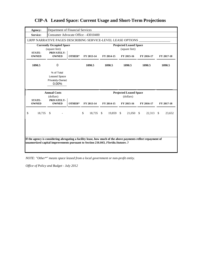| Agency:                       | Department of Financial Services                            |        |                 |            |                                                |            |            |
|-------------------------------|-------------------------------------------------------------|--------|-----------------|------------|------------------------------------------------|------------|------------|
| Service:                      | Consumer Advocate Office - 43010400                         |        |                 |            |                                                |            |            |
|                               | LRPP NARRATIVE PAGES DESCRIBING SERVICE-LEVEL LEASE OPTIONS |        |                 |            |                                                |            |            |
|                               | <b>Currently Occupied Space</b><br>(square feet)            |        |                 |            | <b>Projected Leased Space</b><br>(square feet) |            |            |
| <b>STATE-</b><br><b>OWNED</b> | PRIVATELY-<br><b>OWNED</b>                                  | OTHER* | FY 2013-14      | FY 2014-15 | FY 2015-16                                     | FY 2016-17 | FY 2017-18 |
| 1090.5                        | 0                                                           |        | 1090.5          | 1090.5     | 1090.5                                         | 1090.5     | 1090.5     |
|                               | % of Total<br>Leased Space<br>Privately-Owned<br>$0.00\%$   |        |                 |            |                                                |            |            |
|                               |                                                             |        |                 |            |                                                |            |            |
|                               | <b>Annual Costs</b>                                         |        |                 |            | <b>Projected Leased Space</b>                  |            |            |
|                               | (dollars)                                                   |        |                 |            | (dollars)                                      |            |            |
| <b>STATE-</b><br><b>OWNED</b> | PRIVATELY-<br><b>OWNED</b>                                  | OTHER* | FY 2013-14      | FY 2014-15 | FY 2015-16                                     | FY 2016-17 | FY 2017-18 |
| \$<br>18,735                  | $\mathbb{S}$                                                |        | \$<br>18,735 \$ | 19,859 \$  | 21,050 \$                                      | 22,313 \$  | 23,652     |
|                               |                                                             |        |                 |            |                                                |            |            |

*NOTE: "Other\*" means space leased from a local government or non-profit entity.*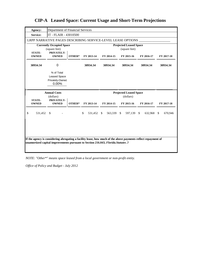| Agency:       | Department of Financial Services                               |        |                  |            |                                                |                            |            |
|---------------|----------------------------------------------------------------|--------|------------------|------------|------------------------------------------------|----------------------------|------------|
| Service:      | IT - FLAIR - 43010500                                          |        |                  |            |                                                |                            |            |
|               | LRPP NARRATIVE PAGES DESCRIBING SERVICE-LEVEL LEASE OPTIONS    |        |                  |            |                                                |                            |            |
| <b>STATE-</b> | <b>Currently Occupied Space</b><br>(square feet)<br>PRIVATELY- |        |                  |            | <b>Projected Leased Space</b><br>(square feet) |                            |            |
| <b>OWNED</b>  | <b>OWNED</b>                                                   | OTHER* | FY 2013-14       | FY 2014-15 | FY 2015-16                                     | FY 2016-17                 | FY 2017-18 |
| 30934.34      | 0                                                              |        | 30934.34         | 30934.34   | 30934.34                                       | 30934.34                   | 30934.34   |
|               | % of Total<br><b>Leased Space</b><br>Privately-Owned<br>0.00%  |        |                  |            |                                                |                            |            |
|               |                                                                |        |                  |            |                                                |                            |            |
|               | <b>Annual Costs</b>                                            |        |                  |            | <b>Projected Leased Space</b>                  |                            |            |
| <b>STATE-</b> | (dollars)                                                      |        |                  |            | (dollars)                                      |                            |            |
| <b>OWNED</b>  | PRIVATELY-<br><b>OWNED</b>                                     | OTHER* | FY 2013-14       | FY 2014-15 | FY 2015-16                                     | FY 2016-17                 | FY 2017-18 |
| \$<br>531,452 | $\mathbb{S}$                                                   |        | \$<br>531,452 \$ | 563,339 \$ | 597,139                                        | $\mathbb{S}$<br>632,968 \$ | 670,946    |
|               |                                                                |        |                  |            |                                                |                            |            |

*NOTE: "Other\*" means space leased from a local government or non-profit entity.*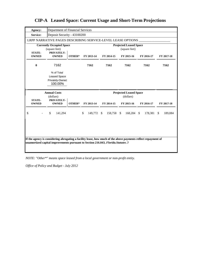| Agency:                       | Department of Financial Services                                |        |               |                  |                                                |               |                         |
|-------------------------------|-----------------------------------------------------------------|--------|---------------|------------------|------------------------------------------------|---------------|-------------------------|
| Service:                      | Deposit Security - 43100200                                     |        |               |                  |                                                |               |                         |
|                               | LRPP NARRATIVE PAGES DESCRIBING SERVICE-LEVEL LEASE OPTIONS     |        |               |                  |                                                |               |                         |
| <b>STATE-</b>                 | <b>Currently Occupied Space</b><br>(square feet)<br>PRIVATELY-  |        |               |                  | <b>Projected Leased Space</b><br>(square feet) |               |                         |
| <b>OWNED</b>                  | <b>OWNED</b>                                                    | OTHER* | FY 2013-14    | FY 2014-15       | FY 2015-16                                     | FY 2016-17    | FY 2017-18              |
| $\bf{0}$                      | 7162                                                            |        | 7162          | 7162             | 7162                                           | 7162          | 7162                    |
|                               | % of Total<br><b>Leased Space</b><br>Privately-Owned<br>100.00% |        |               |                  |                                                |               |                         |
|                               |                                                                 |        |               |                  |                                                |               |                         |
|                               | <b>Annual Costs</b>                                             |        |               |                  | <b>Projected Leased Space</b>                  |               |                         |
|                               | (dollars)                                                       |        |               |                  | (dollars)                                      |               |                         |
| <b>STATE-</b><br><b>OWNED</b> | PRIVATELY-<br><b>OWNED</b>                                      | OTHER* | FY 2013-14    | FY 2014-15       | FY 2015-16                                     | FY 2016-17    | FY 2017-18              |
| \$                            | \$<br>141,294                                                   |        | \$<br>149,772 | 158,758 \$<br>\$ | 168,284                                        | \$<br>178,381 | $\mathbb{S}$<br>189,084 |
|                               |                                                                 |        |               |                  |                                                |               |                         |

*NOTE: "Other\*" means space leased from a local government or non-profit entity.*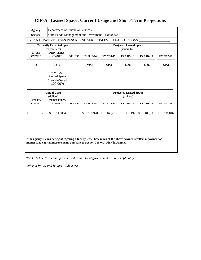| Agency:                       | Department of Financial Services                                |        |               |                      |                                                |            |            |
|-------------------------------|-----------------------------------------------------------------|--------|---------------|----------------------|------------------------------------------------|------------|------------|
| Service:                      | State Funds Management and Investment - 43100300                |        |               |                      |                                                |            |            |
|                               | LRPP NARRATIVE PAGES DESCRIBING SERVICE-LEVEL LEASE OPTIONS     |        |               |                      |                                                |            |            |
|                               | <b>Currently Occupied Space</b><br>(square feet)                |        |               |                      | <b>Projected Leased Space</b><br>(square feet) |            |            |
| <b>STATE-</b><br><b>OWNED</b> | PRIVATELY-<br><b>OWNED</b>                                      | OTHER* | FY 2013-14    | FY 2014-15           | FY 2015-16                                     | FY 2016-17 | FY 2017-18 |
| $\bf{0}$                      | 7456                                                            |        | 7456          | 7456                 | 7456                                           | 7456       | 7456       |
|                               | % of Total<br><b>Leased Space</b><br>Privately-Owned<br>100.00% |        |               |                      |                                                |            |            |
|                               |                                                                 |        |               |                      |                                                |            |            |
|                               | <b>Annual Costs</b>                                             |        |               |                      | <b>Projected Leased Space</b>                  |            |            |
|                               | (dollars)                                                       |        |               |                      | (dollars)                                      |            |            |
| <b>STATE-</b><br><b>OWNED</b> | PRIVATELY-<br><b>OWNED</b>                                      | OTHER* | FY 2013-14    | FY 2014-15           | FY 2015-16                                     | FY 2016-17 | FY 2017-18 |
| \$                            | \$<br>147,094                                                   |        | \$<br>155,920 | - \$<br>$165,275$ \$ | 175,192 \$                                     | 185,703 \$ | 196,846    |
|                               |                                                                 |        |               |                      |                                                |            |            |

*NOTE: "Other\*" means space leased from a local government or non-profit entity.*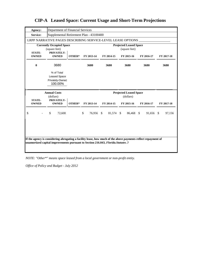| Agency:                       |                                                                 | Department of Financial Services |                                         |            |                                                |            |               |
|-------------------------------|-----------------------------------------------------------------|----------------------------------|-----------------------------------------|------------|------------------------------------------------|------------|---------------|
| Service:                      |                                                                 |                                  | Supplemental Retirement Plan - 43100400 |            |                                                |            |               |
|                               | LRPP NARRATIVE PAGES DESCRIBING SERVICE-LEVEL LEASE OPTIONS     |                                  |                                         |            |                                                |            |               |
|                               | <b>Currently Occupied Space</b><br>(square feet)                |                                  |                                         |            | <b>Projected Leased Space</b><br>(square feet) |            |               |
| <b>STATE-</b><br><b>OWNED</b> | PRIVATELY-<br><b>OWNED</b>                                      | OTHER*                           | FY 2013-14                              | FY 2014-15 | FY 2015-16                                     | FY 2016-17 | FY 2017-18    |
| $\bf{0}$                      | 3680                                                            |                                  | 3680                                    | 3680       | 3680                                           | 3680       | 3680          |
|                               | % of Total<br><b>Leased Space</b><br>Privately-Owned<br>100.00% |                                  |                                         |            |                                                |            |               |
|                               |                                                                 |                                  |                                         |            |                                                |            |               |
|                               | <b>Annual Costs</b>                                             |                                  |                                         |            | <b>Projected Leased Space</b>                  |            |               |
|                               | (dollars)                                                       |                                  |                                         |            | (dollars)                                      |            |               |
| <b>STATE-</b><br><b>OWNED</b> | PRIVATELY-<br><b>OWNED</b>                                      | OTHER*                           | FY 2013-14                              | FY 2014-15 | FY 2015-16                                     | FY 2016-17 | FY 2017-18    |
| \$                            | \$<br>72,600                                                    |                                  | \$<br>76,956 \$                         | 81,574 \$  | 86,468 \$                                      | 91,656     | -\$<br>97,156 |
|                               |                                                                 |                                  |                                         |            |                                                |            |               |

*NOTE: "Other\*" means space leased from a local government or non-profit entity.*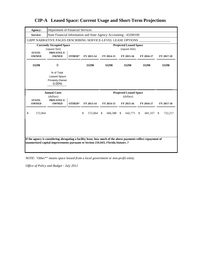| Agency:                       | Department of Financial Services                                   |        |                  |            |                                                |            |                          |
|-------------------------------|--------------------------------------------------------------------|--------|------------------|------------|------------------------------------------------|------------|--------------------------|
| Service:                      | State Financial Information and State Agency Accounting - 43200100 |        |                  |            |                                                |            |                          |
|                               | LRPP NARRATIVE PAGES DESCRIBING SERVICE-LEVEL LEASE OPTIONS        |        |                  |            |                                                |            |                          |
|                               | <b>Currently Occupied Space</b><br>(square feet)                   |        |                  |            | <b>Projected Leased Space</b><br>(square feet) |            |                          |
| <b>STATE-</b><br><b>OWNED</b> | PRIVATELY-<br><b>OWNED</b>                                         | OTHER* | FY 2013-14       | FY 2014-15 | FY 2015-16                                     | FY 2016-17 | FY 2017-18               |
| 33298                         | 0                                                                  |        | 33298            | 33298      | 33298                                          | 33298      | 33298                    |
|                               | % of Total<br><b>Leased Space</b><br>Privately-Owned<br>$0.00\%$   |        |                  |            |                                                |            |                          |
|                               |                                                                    |        |                  |            |                                                |            |                          |
|                               | <b>Annual Costs</b>                                                |        |                  |            | <b>Projected Leased Space</b>                  |            |                          |
|                               | (dollars)                                                          |        |                  |            | (dollars)                                      |            |                          |
| <b>STATE-</b><br><b>OWNED</b> | PRIVATELY-<br><b>OWNED</b>                                         | OTHER* | FY 2013-14       | FY 2014-15 | FY 2015-16                                     | FY 2016-17 | FY 2017-18               |
| \$<br>572,064                 |                                                                    |        | \$<br>572,064 \$ | 606,388 \$ | 642,771 \$                                     | 681,337    | <sup>\$</sup><br>722,217 |
|                               |                                                                    |        |                  |            |                                                |            |                          |

*NOTE: "Other\*" means space leased from a local government or non-profit entity.*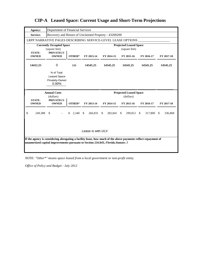| Agency:                       | Department of Financial Services                              |                |                   |               |                                                |                         |                         |
|-------------------------------|---------------------------------------------------------------|----------------|-------------------|---------------|------------------------------------------------|-------------------------|-------------------------|
| Service:                      | Recovery and Return of Unclaimed Property - 43200200          |                |                   |               |                                                |                         |                         |
|                               | LRPP NARRATIVE PAGES DESCRIBING SERVICE-LEVEL LEASE OPTIONS   |                |                   |               |                                                |                         |                         |
|                               | <b>Currently Occupied Space</b><br>(square feet)              |                |                   |               | <b>Projected Leased Space</b><br>(square feet) |                         |                         |
| <b>STATE-</b><br><b>OWNED</b> | PRIVATELY-<br><b>OWNED</b>                                    | OTHER*         | FY 2013-14        | FY 2014-15    | FY 2015-16                                     | FY 2016-17              | FY 2017-18              |
| 14412.25                      | 0                                                             | 133            | 14545.25          | 14545.25      | 14545.25                                       | 14545.25                | 14545.25                |
|                               | % of Total<br><b>Leased Space</b><br>Privately-Owned<br>0.00% |                |                   |               |                                                |                         |                         |
|                               |                                                               |                |                   |               |                                                |                         |                         |
|                               | <b>Annual Costs</b><br>(dollars)                              |                |                   |               | <b>Projected Leased Space</b><br>(dollars)     |                         |                         |
| <b>STATE-</b><br><b>OWNED</b> | PRIVATELY-<br><b>OWNED</b>                                    | OTHER*         | FY 2013-14        | FY 2014-15    | FY 2015-16                                     | FY 2016-17              | FY 2017-18              |
| \$<br>249,388                 | $\mathcal{S}$                                                 | 2.340 \$<br>\$ | 266,831           | -S<br>282,841 | <sup>\$</sup><br>299,812                       | 317,800<br>$\mathbb{S}$ | $\mathbb{S}$<br>336,868 |
|                               |                                                               |                | Lease is with DCF |               |                                                |                         |                         |

**CIP-A Leased Space: Current Usage and Short-Term Projections**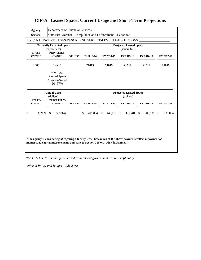| Agency:                       | Department of Financial Services                               |        |                  |            |                                                |                         |               |
|-------------------------------|----------------------------------------------------------------|--------|------------------|------------|------------------------------------------------|-------------------------|---------------|
| Service:                      | State Fire Marshal - Compliance and Enforcement - 43300200     |        |                  |            |                                                |                         |               |
|                               | LRPP NARRATIVE PAGES DESCRIBING SERVICE-LEVEL LEASE OPTIONS    |        |                  |            |                                                |                         |               |
|                               | <b>Currently Occupied Space</b><br>(square feet)               |        |                  |            | <b>Projected Leased Space</b><br>(square feet) |                         |               |
| <b>STATE-</b><br><b>OWNED</b> | PRIVATELY-<br><b>OWNED</b>                                     | OTHER* | FY 2013-14       | FY 2014-15 | FY 2015-16                                     | FY 2016-17              | FY 2017-18    |
| 1888                          | 19731                                                          |        | 21619            | 21619      | 21619                                          | 21619                   | 21619         |
|                               | % of Total<br><b>Leased Space</b><br>Privately-Owned<br>91.27% |        |                  |            |                                                |                         |               |
|                               |                                                                |        |                  |            |                                                |                         |               |
|                               | <b>Annual Costs</b>                                            |        |                  |            | <b>Projected Leased Space</b>                  |                         |               |
| <b>STATE-</b><br><b>OWNED</b> | (dollars)<br>PRIVATELY-<br><b>OWNED</b>                        | OTHER* | FY 2013-14       | FY 2014-15 | (dollars)<br>FY 2015-16                        | FY 2016-17              | FY 2017-18    |
| \$<br>38,999                  | \$<br>359,326                                                  |        | \$<br>419,884 \$ | 445,077 \$ | 471,781                                        | $\mathbb{S}$<br>500,088 | \$<br>530,094 |
|                               |                                                                |        |                  |            |                                                |                         |               |

*NOTE: "Other\*" means space leased from a local government or non-profit entity.*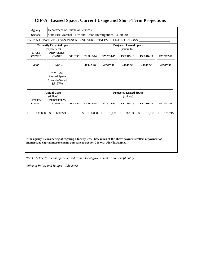| Agency:                       | Department of Financial Services                               |        |                  |            |                                                |            |            |
|-------------------------------|----------------------------------------------------------------|--------|------------------|------------|------------------------------------------------|------------|------------|
| Service:                      | State Fire Marshal - Fire and Arson Investigations - 43300300  |        |                  |            |                                                |            |            |
|                               | LRPP NARRATIVE PAGES DESCRIBING SERVICE-LEVEL LEASE OPTIONS    |        |                  |            |                                                |            |            |
|                               | <b>Currently Occupied Space</b><br>(square feet)               |        |                  |            | <b>Projected Leased Space</b><br>(square feet) |            |            |
| <b>STATE-</b><br><b>OWNED</b> | PRIVATELY-<br><b>OWNED</b>                                     | OTHER* | FY 2013-14       | FY 2014-15 | FY 2015-16                                     | FY 2016-17 | FY 2017-18 |
| 4805                          | 36142.96                                                       |        | 40947.96         | 40947.96   | 40947.96                                       | 40947.96   | 40947.96   |
|                               | % of Total<br><b>Leased Space</b><br>Privately-Owned<br>88.27% |        |                  |            |                                                |            |            |
|                               |                                                                |        |                  |            |                                                |            |            |
|                               | <b>Annual Costs</b>                                            |        |                  |            | <b>Projected Leased Space</b>                  |            |            |
|                               | (dollars)                                                      |        |                  |            | (dollars)                                      |            |            |
| <b>STATE-</b><br><b>OWNED</b> | PRIVATELY-<br><b>OWNED</b>                                     | OTHER* | FY 2013-14       | FY 2014-15 | FY 2015-16                                     | FY 2016-17 | FY 2017-18 |
| \$<br>100,808                 | \$<br>630,273                                                  |        | \$<br>768,898 \$ | 815,031    | \$<br>863,933 \$                               | 915,769 \$ | 970,715    |
|                               |                                                                |        |                  |            |                                                |            |            |

**CIP-A Leased Space: Current Usage and Short-Term Projections**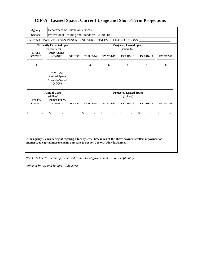| (square feet)                                                 |            |                                 |                                  | (square feet)                                  |               |                                                                                                                               |
|---------------------------------------------------------------|------------|---------------------------------|----------------------------------|------------------------------------------------|---------------|-------------------------------------------------------------------------------------------------------------------------------|
| <b>OWNED</b>                                                  | OTHER*     | FY 2013-14                      | FY 2014-15                       | FY 2015-16                                     | FY 2016-17    | FY 2017-18                                                                                                                    |
| 0                                                             |            | $\bf{0}$                        | $\bf{0}$                         | $\bf{0}$                                       | $\mathbf{0}$  | $\bf{0}$                                                                                                                      |
| % of Total<br><b>Leased Space</b><br>Privately-Owned<br>0.00% |            |                                 |                                  |                                                |               |                                                                                                                               |
| <b>Annual Costs</b>                                           |            |                                 |                                  |                                                |               |                                                                                                                               |
|                                                               |            |                                 |                                  | (dollars)                                      |               |                                                                                                                               |
| (dollars)<br>PRIVATELY-                                       |            |                                 |                                  |                                                |               |                                                                                                                               |
| <b>OWNED</b>                                                  | OTHER*     | FY 2013-14                      | FY 2014-15                       | FY 2015-16                                     | FY 2016-17    | FY 2017-18                                                                                                                    |
| \$                                                            |            | \$                              | $\mathbb{S}$                     | $\mathbb{S}$                                   | $\mathcal{S}$ | \$                                                                                                                            |
|                                                               | PRIVATELY- | <b>Currently Occupied Space</b> | Department of Financial Services | Professional Training and Standards - 43300400 |               | LRPP NARRATIVE PAGES DESCRIBING SERVICE-LEVEL LEASE OPTIONS<br><b>Projected Leased Space</b><br><b>Projected Leased Space</b> |

**CIP-A Leased Space: Current Usage and Short-Term Projections**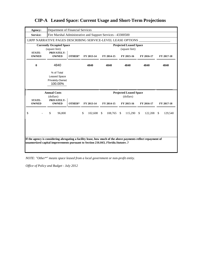| Agency:                       | Department of Financial Services                                |        |                         |                             |                                                |                     |                         |
|-------------------------------|-----------------------------------------------------------------|--------|-------------------------|-----------------------------|------------------------------------------------|---------------------|-------------------------|
| Service:                      | Fire Marshal Administrative and Support Services - 43300500     |        |                         |                             |                                                |                     |                         |
|                               | LRPP NARRATIVE PAGES DESCRIBING SERVICE-LEVEL LEASE OPTIONS     |        |                         |                             |                                                |                     |                         |
|                               | <b>Currently Occupied Space</b><br>(square feet)                |        |                         |                             | <b>Projected Leased Space</b><br>(square feet) |                     |                         |
| <b>STATE-</b><br><b>OWNED</b> | PRIVATELY-<br><b>OWNED</b>                                      | OTHER* | FY 2013-14              | FY 2014-15                  | FY 2015-16                                     | FY 2016-17          | FY 2017-18              |
| $\bf{0}$                      | 4840                                                            |        | 4840                    | 4840                        | 4840                                           | 4840                | 4840                    |
|                               | % of Total<br><b>Leased Space</b><br>Privately-Owned<br>100.00% |        |                         |                             |                                                |                     |                         |
|                               |                                                                 |        |                         |                             |                                                |                     |                         |
|                               | <b>Annual Costs</b>                                             |        |                         |                             | <b>Projected Leased Space</b>                  |                     |                         |
| <b>STATE-</b><br><b>OWNED</b> | (dollars)<br>PRIVATELY-<br><b>OWNED</b>                         | OTHER* | FY 2013-14              | FY 2014-15                  | (dollars)<br>FY 2015-16                        | FY 2016-17          | FY 2017-18              |
| \$                            | \$<br>96,800                                                    |        | $\mathbb{S}$<br>102,608 | $\mathcal{S}$<br>108,765 \$ | 115,290                                        | <b>S</b><br>122,208 | $\mathbb{S}$<br>129,540 |

*NOTE: "Other\*" means space leased from a local government or non-profit entity.*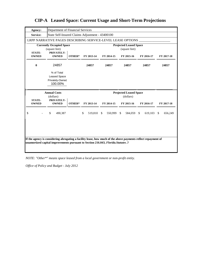| Agency:                       | Department of Financial Services                                |        |               |               |                                                |                         |                          |
|-------------------------------|-----------------------------------------------------------------|--------|---------------|---------------|------------------------------------------------|-------------------------|--------------------------|
| Service:                      | State Self-Insured Claims Adjustment - 43400100                 |        |               |               |                                                |                         |                          |
|                               | LRPP NARRATIVE PAGES DESCRIBING SERVICE-LEVEL LEASE OPTIONS     |        |               |               |                                                |                         |                          |
|                               | <b>Currently Occupied Space</b><br>(square feet)<br>PRIVATELY-  |        |               |               | <b>Projected Leased Space</b><br>(square feet) |                         |                          |
| <b>STATE-</b><br><b>OWNED</b> | <b>OWNED</b>                                                    | OTHER* | FY 2013-14    | FY 2014-15    | FY 2015-16                                     | FY 2016-17              | FY 2017-18               |
| $\bf{0}$                      | 24857                                                           |        | 24857         | 24857         | 24857                                          | 24857                   | 24857                    |
|                               | % of Total<br><b>Leased Space</b><br>Privately-Owned<br>100.00% |        |               |               |                                                |                         |                          |
|                               |                                                                 |        |               |               |                                                |                         |                          |
|                               | <b>Annual Costs</b>                                             |        |               |               | <b>Projected Leased Space</b>                  |                         |                          |
|                               | (dollars)                                                       |        |               |               | (dollars)                                      |                         |                          |
| <b>STATE-</b><br><b>OWNED</b> | PRIVATELY-<br><b>OWNED</b>                                      | OTHER* | FY 2013-14    | FY 2014-15    | FY 2015-16                                     | FY 2016-17              | FY 2017-18               |
| \$                            | \$<br>490,387                                                   |        | \$<br>519,810 | \$<br>550,999 | \$<br>584,059                                  | 619,103<br>$\mathbb{S}$ | <sup>\$</sup><br>656,249 |
|                               |                                                                 |        |               |               |                                                |                         |                          |

*NOTE: "Other\*" means space leased from a local government or non-profit entity.*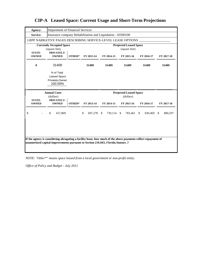| Agency:                       | Department of Financial Services                                |        |                         |                    |                                                |                         |                 |
|-------------------------------|-----------------------------------------------------------------|--------|-------------------------|--------------------|------------------------------------------------|-------------------------|-----------------|
| Service:                      | Insurance company Rehabilitation and Liquidation - 43500100     |        |                         |                    |                                                |                         |                 |
|                               | LRPP NARRATIVE PAGES DESCRIBING SERVICE-LEVEL LEASE OPTIONS     |        |                         |                    |                                                |                         |                 |
|                               | <b>Currently Occupied Space</b><br>(square feet)                |        |                         |                    | <b>Projected Leased Space</b><br>(square feet) |                         |                 |
| <b>STATE-</b><br><b>OWNED</b> | PRIVATELY-<br><b>OWNED</b>                                      | OTHER* | FY 2013-14              | FY 2014-15         | FY 2015-16                                     | FY 2016-17              | FY 2017-18      |
| $\bf{0}$                      | 31409                                                           |        | 31409                   | 31409              | 31409                                          | 31409                   | 31409           |
|                               | % of Total<br><b>Leased Space</b><br>Privately-Owned<br>100.00% |        |                         |                    |                                                |                         |                 |
|                               |                                                                 |        |                         |                    |                                                |                         |                 |
|                               | <b>Annual Costs</b>                                             |        |                         |                    | <b>Projected Leased Space</b>                  |                         |                 |
| <b>STATE-</b><br><b>OWNED</b> | (dollars)<br>PRIVATELY-<br><b>OWNED</b>                         | OTHER* | FY 2013-14              | FY 2014-15         | (dollars)<br>FY 2015-16                        | FY 2016-17              | FY 2017-18      |
| \$                            | \$<br>657,809                                                   |        | $\mathbb{S}$<br>697,278 | - \$<br>739,114 \$ | 783,461                                        | $\mathbb{S}$<br>830,469 | - \$<br>880,297 |

*NOTE: "Other\*" means space leased from a local government or non-profit entity.*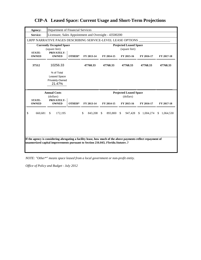| Agency:                       | Department of Financial Services                               |        |               |                         |                                                |                            |                            |
|-------------------------------|----------------------------------------------------------------|--------|---------------|-------------------------|------------------------------------------------|----------------------------|----------------------------|
| Service:                      | Licensure, Sales Appointment and Oversight - 43500200          |        |               |                         |                                                |                            |                            |
|                               | LRPP NARRATIVE PAGES DESCRIBING SERVICE-LEVEL LEASE OPTIONS    |        |               |                         |                                                |                            |                            |
|                               | <b>Currently Occupied Space</b><br>(square feet)               |        |               |                         | <b>Projected Leased Space</b><br>(square feet) |                            |                            |
| <b>STATE-</b><br><b>OWNED</b> | PRIVATELY-<br><b>OWNED</b>                                     | OTHER* | FY 2013-14    | FY 2014-15              | FY 2015-16                                     | FY 2016-17                 | FY 2017-18                 |
| 37512                         | 10256.33                                                       |        | 47768.33      | 47768.33                | 47768.33                                       | 47768.33                   | 47768.33                   |
|                               | % of Total<br><b>Leased Space</b><br>Privately-Owned<br>21.47% |        |               |                         |                                                |                            |                            |
|                               |                                                                |        |               |                         |                                                |                            |                            |
|                               | <b>Annual Costs</b>                                            |        |               |                         | <b>Projected Leased Space</b>                  |                            |                            |
|                               | (dollars)                                                      |        |               |                         | (dollars)                                      |                            |                            |
| <b>STATE-</b><br><b>OWNED</b> | PRIVATELY-<br><b>OWNED</b>                                     | OTHER* | FY 2013-14    | FY 2014-15              | FY 2015-16                                     | FY 2016-17                 | FY 2017-18                 |
| \$<br>660,681                 | \$<br>172,195                                                  |        | \$<br>843,208 | $\mathbb{S}$<br>893,800 | 947,428<br><sup>\$</sup>                       | 1,004,274<br><sup>\$</sup> | <sup>\$</sup><br>1,064,530 |
|                               |                                                                |        |               |                         |                                                |                            |                            |

**CIP-A Leased Space: Current Usage and Short-Term Projections**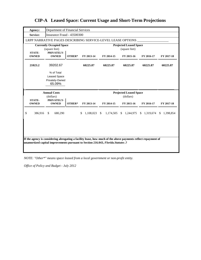| Agency:                       | Department of Financial Services                               |        |                 |              |                                                |            |             |
|-------------------------------|----------------------------------------------------------------|--------|-----------------|--------------|------------------------------------------------|------------|-------------|
| <b>Service:</b>               | Insurance Fraud - 43500300                                     |        |                 |              |                                                |            |             |
|                               | LRPP NARRATIVE PAGES DESCRIBING SERVICE-LEVEL LEASE OPTIONS    |        |                 |              |                                                |            |             |
|                               | <b>Currently Occupied Space</b><br>(square feet)               |        |                 |              | <b>Projected Leased Space</b><br>(square feet) |            |             |
| <b>STATE-</b><br><b>OWNED</b> | PRIVATELY-<br><b>OWNED</b>                                     | OTHER* | FY 2013-14      | FY 2014-15   | FY 2015-16                                     | FY 2016-17 | FY 2017-18  |
| 21023.2                       | 39202.67                                                       |        | 60225.87        | 60225.87     | 60225.87                                       | 60225.87   | 60225.87    |
|                               | % of Total<br><b>Leased Space</b><br>Privately-Owned<br>65.09% |        |                 |              |                                                |            |             |
|                               |                                                                |        |                 |              |                                                |            |             |
|                               | <b>Annual Costs</b><br>(dollars)                               |        |                 |              | <b>Projected Leased Space</b><br>(dollars)     |            |             |
| <b>STATE-</b><br><b>OWNED</b> | PRIVATELY-<br><b>OWNED</b>                                     | OTHER* | FY 2013-14      | FY 2014-15   | FY 2015-16                                     | FY 2016-17 | FY 2017-18  |
| \$<br>386,916                 | \$<br>680,290                                                  |        | 1,108,023<br>\$ | $\mathbb{S}$ | 1,174,505 \$ 1,244,975 \$ 1,319,674            |            | \$1,398,854 |
|                               |                                                                |        |                 |              |                                                |            |             |

*NOTE: "Other\*" means space leased from a local government or non-profit entity.*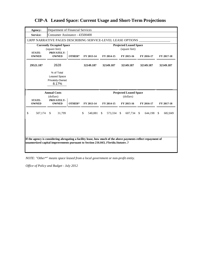| Agency:                                                                                                       | Department of Financial Services                              |        |                            |            |                                                |            |                 |
|---------------------------------------------------------------------------------------------------------------|---------------------------------------------------------------|--------|----------------------------|------------|------------------------------------------------|------------|-----------------|
| Service:                                                                                                      | Consumer Assistance - 43500400                                |        |                            |            |                                                |            |                 |
|                                                                                                               | LRPP NARRATIVE PAGES DESCRIBING SERVICE-LEVEL LEASE OPTIONS   |        |                            |            |                                                |            |                 |
|                                                                                                               | <b>Currently Occupied Space</b><br>(square feet)              |        |                            |            | <b>Projected Leased Space</b><br>(square feet) |            |                 |
| <b>STATE-</b><br><b>OWNED</b>                                                                                 | PRIVATELY-<br><b>OWNED</b>                                    | OTHER* | FY 2013-14                 | FY 2014-15 | FY 2015-16                                     | FY 2016-17 | FY 2017-18      |
| 29521.187                                                                                                     | 2628                                                          |        | 32149.187                  | 32149.187  | 32149.187                                      | 32149.187  | 32149.187       |
|                                                                                                               | % of Total<br><b>Leased Space</b><br>Privately-Owned<br>8.17% |        |                            |            |                                                |            |                 |
|                                                                                                               |                                                               |        |                            |            |                                                |            |                 |
|                                                                                                               | <b>Annual Costs</b>                                           |        |                            |            | <b>Projected Leased Space</b>                  |            |                 |
| <b>STATE-</b><br><b>OWNED</b>                                                                                 | (dollars)<br>PRIVATELY-<br><b>OWNED</b>                       | OTHER* | FY 2013-14                 | FY 2014-15 | (dollars)<br>FY 2015-16                        | FY 2016-17 | FY 2017-18      |
| \$<br>507,174                                                                                                 | 31,799<br>\$                                                  |        | $\mathbb{S}$<br>540.881 \$ | 573,334 \$ | 607,734 \$                                     | 644,198    | - \$<br>682,849 |
| If the agency is considering abrogating a facility lease, how much of the above payments reflect repayment of |                                                               |        |                            |            |                                                |            |                 |

*NOTE: "Other\*" means space leased from a local government or non-profit entity.*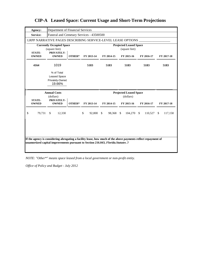| Agency:                       | Department of Financial Services                               |        |                 |            |                                                |            |            |
|-------------------------------|----------------------------------------------------------------|--------|-----------------|------------|------------------------------------------------|------------|------------|
| Service:                      | Funeral and Cemetary Services - 43500500                       |        |                 |            |                                                |            |            |
|                               | LRPP NARRATIVE PAGES DESCRIBING SERVICE-LEVEL LEASE OPTIONS    |        |                 |            |                                                |            |            |
| <b>STATE-</b>                 | <b>Currently Occupied Space</b><br>(square feet)<br>PRIVATELY- |        |                 |            | <b>Projected Leased Space</b><br>(square feet) |            |            |
| <b>OWNED</b>                  | <b>OWNED</b>                                                   | OTHER* | FY 2013-14      | FY 2014-15 | FY 2015-16                                     | FY 2016-17 | FY 2017-18 |
| 4164                          | 1019                                                           |        | 5183            | 5183       | 5183                                           | 5183       | 5183       |
|                               | % of Total<br><b>Leased Space</b><br>Privately-Owned<br>19.66% |        |                 |            |                                                |            |            |
|                               |                                                                |        |                 |            |                                                |            |            |
|                               | <b>Annual Costs</b>                                            |        |                 |            | <b>Projected Leased Space</b>                  |            |            |
| <b>STATE-</b><br><b>OWNED</b> | (dollars)<br>PRIVATELY-<br><b>OWNED</b>                        | OTHER* | FY 2013-14      | FY 2014-15 | (dollars)<br>FY 2015-16                        | FY 2016-17 | FY 2017-18 |
| \$<br>79,731                  | 12,330<br>\$                                                   |        | \$<br>92,800 \$ | 98,368 \$  | $104,270$ \$                                   | 110,527 \$ | 117,158    |
|                               |                                                                |        |                 |            |                                                |            |            |

*NOTE: "Other\*" means space leased from a local government or non-profit entity.*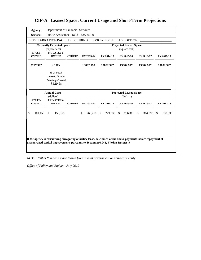| Agency:                       | Department of Financial Services                               |        |                  |            |                                                |                            |            |
|-------------------------------|----------------------------------------------------------------|--------|------------------|------------|------------------------------------------------|----------------------------|------------|
| Service:                      | Public Assistance Fraud - 43500700                             |        |                  |            |                                                |                            |            |
|                               | LRPP NARRATIVE PAGES DESCRIBING SERVICE-LEVEL LEASE OPTIONS    |        |                  |            |                                                |                            |            |
| <b>STATE-</b>                 | <b>Currently Occupied Space</b><br>(square feet)<br>PRIVATELY- |        |                  |            | <b>Projected Leased Space</b><br>(square feet) |                            |            |
| <b>OWNED</b>                  | <b>OWNED</b>                                                   | OTHER* | FY 2013-14       | FY 2014-15 | FY 2015-16                                     | FY 2016-17                 | FY 2017-18 |
| 5297.997                      | 8585                                                           |        | 13882.997        | 13882.997  | 13882.997                                      | 13882.997                  | 13882.997  |
|                               | % of Total<br><b>Leased Space</b><br>Privately-Owned<br>61.84% |        |                  |            |                                                |                            |            |
|                               |                                                                |        |                  |            |                                                |                            |            |
|                               | <b>Annual Costs</b>                                            |        |                  |            | <b>Projected Leased Space</b>                  |                            |            |
|                               | (dollars)                                                      |        |                  |            | (dollars)                                      |                            |            |
| <b>STATE-</b><br><b>OWNED</b> | PRIVATELY-<br><b>OWNED</b>                                     | OTHER* | FY 2013-14       | FY 2014-15 | FY 2015-16                                     | FY 2016-17                 | FY 2017-18 |
| \$<br>101,158                 | 153,356<br><sup>\$</sup>                                       |        | 263,716 \$<br>\$ | 279.539 \$ | 296,311                                        | $\mathbf{s}$<br>314,090 \$ | 332,935    |
|                               |                                                                |        |                  |            |                                                |                            |            |

**CIP-A Leased Space: Current Usage and Short-Term Projections**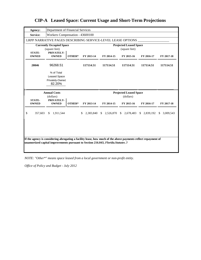| Agency:                       | Department of Financial Services                               |        |            |                                                     |                                                |            |                           |
|-------------------------------|----------------------------------------------------------------|--------|------------|-----------------------------------------------------|------------------------------------------------|------------|---------------------------|
| Service:                      | Workers Compensation - 43600100                                |        |            |                                                     |                                                |            |                           |
|                               | LRPP NARRATIVE PAGES DESCRIBING SERVICE-LEVEL LEASE OPTIONS    |        |            |                                                     |                                                |            |                           |
|                               | <b>Currently Occupied Space</b><br>(square feet)               |        |            |                                                     | <b>Projected Leased Space</b><br>(square feet) |            |                           |
| <b>STATE-</b><br><b>OWNED</b> | PRIVATELY-<br><b>OWNED</b>                                     | OTHER* | FY 2013-14 | FY 2014-15                                          | FY 2015-16                                     | FY 2016-17 | FY 2017-18                |
| 20846                         | 96268.51                                                       |        | 117114.51  | 117114.51                                           | 117114.51                                      | 117114.51  | 117114.51                 |
|                               | % of Total<br><b>Leased Space</b><br>Privately-Owned<br>82.20% |        |            |                                                     |                                                |            |                           |
|                               |                                                                |        |            |                                                     |                                                |            |                           |
|                               | <b>Annual Costs</b>                                            |        |            |                                                     | <b>Projected Leased Space</b>                  |            |                           |
| <b>STATE-</b><br><b>OWNED</b> | (dollars)<br>PRIVATELY-<br><b>OWNED</b>                        | OTHER* | FY 2013-14 | FY 2014-15                                          | (dollars)<br>FY 2015-16                        | FY 2016-17 | FY 2017-18                |
| \$<br>357,603                 | 1,911,544<br><sup>\$</sup>                                     |        |            | \$ 2,383,840 \$ 2,526,870 \$ 2,678,483 \$ 2,839,192 |                                                |            | $\mathbb{S}$<br>3,009,543 |

*NOTE: "Other\*" means space leased from a local government or non-profit entity.*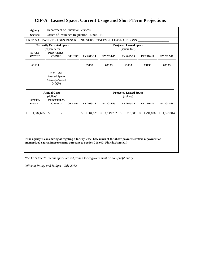| Agency:                       | Department of Financial Services                                                                                                                                                                    |        |            |                                                               |                                                |            |            |
|-------------------------------|-----------------------------------------------------------------------------------------------------------------------------------------------------------------------------------------------------|--------|------------|---------------------------------------------------------------|------------------------------------------------|------------|------------|
| Service:                      | Office of Insurance Regulation - 43900110                                                                                                                                                           |        |            |                                                               |                                                |            |            |
|                               | LRPP NARRATIVE PAGES DESCRIBING SERVICE-LEVEL LEASE OPTIONS                                                                                                                                         |        |            |                                                               |                                                |            |            |
|                               | <b>Currently Occupied Space</b><br>(square feet)                                                                                                                                                    |        |            |                                                               | <b>Projected Leased Space</b><br>(square feet) |            |            |
| <b>STATE-</b><br><b>OWNED</b> | PRIVATELY-<br><b>OWNED</b>                                                                                                                                                                          | OTHER* | FY 2013-14 | FY 2014-15                                                    | FY 2015-16                                     | FY 2016-17 | FY 2017-18 |
| 63133                         | $\Omega$                                                                                                                                                                                            |        | 63133      | 63133                                                         | 63133                                          | 63133      | 63133      |
|                               | % of Total<br><b>Leased Space</b><br>Privately-Owned<br>0.00%                                                                                                                                       |        |            |                                                               |                                                |            |            |
|                               |                                                                                                                                                                                                     |        |            |                                                               |                                                |            |            |
|                               | <b>Annual Costs</b>                                                                                                                                                                                 |        |            |                                                               | <b>Projected Leased Space</b>                  |            |            |
| <b>STATE-</b>                 | (dollars)                                                                                                                                                                                           |        |            |                                                               | (dollars)                                      |            |            |
| <b>OWNED</b>                  | PRIVATELY-<br><b>OWNED</b>                                                                                                                                                                          | OTHER* | FY 2013-14 | FY 2014-15                                                    | FY 2015-16                                     | FY 2016-17 | FY 2017-18 |
| \$<br>1,084,625               | -\$                                                                                                                                                                                                 |        | \$         | 1,084,625 \$ 1,149,702 \$ 1,218,685 \$ 1,291,806 \$ 1,369,314 |                                                |            |            |
|                               |                                                                                                                                                                                                     |        |            |                                                               |                                                |            |            |
|                               |                                                                                                                                                                                                     |        |            |                                                               |                                                |            |            |
|                               | If the agency is considering abrogating a facility lease, how much of the above payments reflect repayment of<br>unamortized capital improvements pursuant to Section 216.043, Florida. Statutes .? |        |            |                                                               |                                                |            |            |

*NOTE: "Other\*" means space leased from a local government or non-profit entity.*